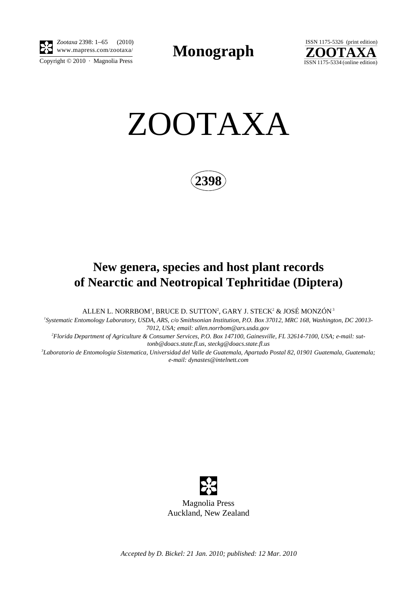

*Zootaxa* 2398: 1–65 (2010) www.mapress.com/zootaxa/ **Monograph**



ZOOTAXA

**2398**

# **New genera, species and host plant records of Nearctic and Neotropical Tephritidae (Diptera)**

ALLEN L. NORRBOM', BRUCE D. SUTTON $^2$ , GARY J. STECK $^2$  & JOSÉ MONZÓN  $^3$ 

*1 Systematic Entomology Laboratory, USDA, ARS, c/o Smithsonian Institution, P.O. Box 37012, MRC 168, Washington, DC 20013-*

*7012, USA; email: allen.norrbom@ars.usda.gov 2 Florida Department of Agriculture & Consumer Services, P.O. Box 147100, Gainesville, FL 32614-7100, USA; e-mail: suttonb@doacs.state.fl.us, steckg@doacs.state.fl.us*

*3 Laboratorio de Entomologia Sistematica, Universidad del Valle de Guatemala, Apartado Postal 82, 01901 Guatemala, Guatemala; e-mail: dynastes@intelnett.com*

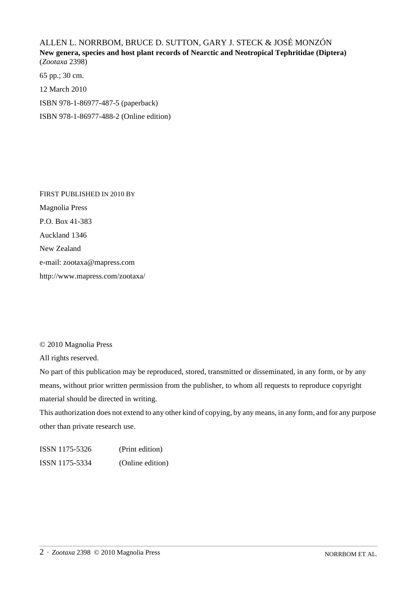# ALLEN L. NORRBOM, BRUCE D. SUTTON, GARY J. STECK & JOSÉ MONZÓN **New genera, species and host plant records of Nearctic and Neotropical Tephritidae (Diptera)** (*Zootaxa* 2398)

65 pp.; 30 cm. 12 March 2010 ISBN 978-1-86977-487-5 (paperback) ISBN 978-1-86977-488-2 (Online edition)

FIRST PUBLISHED IN 2010 BY Magnolia Press P.O. Box 41-383 Auckland 1346 New Zealand e-mail: zootaxa@mapress.com http://www.mapress.com/zootaxa/

© 2010 Magnolia Press

All rights reserved.

No part of this publication may be reproduced, stored, transmitted or disseminated, in any form, or by any means, without prior written permission from the publisher, to whom all requests to reproduce copyright material should be directed in writing.

This authorization does not extend to any other kind of copying, by any means, in any form, and for any purpose other than private research use.

ISSN 1175-5326 (Print edition) ISSN 1175-5334 (Online edition)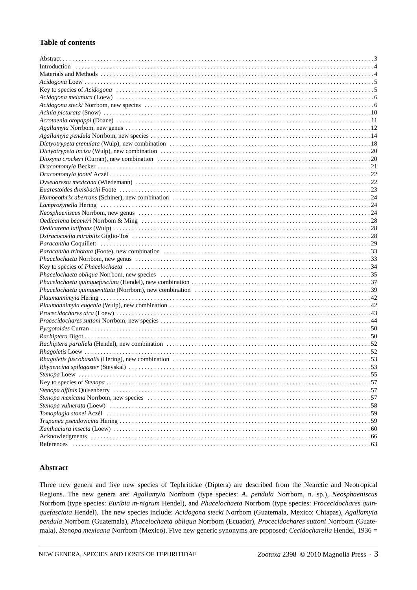### **Table of contents**

| Paracantha Coquillett (al. 1992) (29) The Coquillett (b) and the control of the control of the control of the control of the control of the control of the control of the control of the control of the control of the control |
|--------------------------------------------------------------------------------------------------------------------------------------------------------------------------------------------------------------------------------|
|                                                                                                                                                                                                                                |
|                                                                                                                                                                                                                                |
|                                                                                                                                                                                                                                |
|                                                                                                                                                                                                                                |
|                                                                                                                                                                                                                                |
|                                                                                                                                                                                                                                |
|                                                                                                                                                                                                                                |
|                                                                                                                                                                                                                                |
|                                                                                                                                                                                                                                |
|                                                                                                                                                                                                                                |
|                                                                                                                                                                                                                                |
|                                                                                                                                                                                                                                |
|                                                                                                                                                                                                                                |
|                                                                                                                                                                                                                                |
|                                                                                                                                                                                                                                |
|                                                                                                                                                                                                                                |
| Rhynencina spilogaster (Steyskal).<br>53                                                                                                                                                                                       |
|                                                                                                                                                                                                                                |
|                                                                                                                                                                                                                                |
|                                                                                                                                                                                                                                |
|                                                                                                                                                                                                                                |
|                                                                                                                                                                                                                                |
| Tomoplagia stonei Aczél (1998) (1998) (1998) (1998) (1998) (1998) (1998) (1998) (1998) (1998) (1998) (1998) (1                                                                                                                 |
|                                                                                                                                                                                                                                |
|                                                                                                                                                                                                                                |
|                                                                                                                                                                                                                                |
|                                                                                                                                                                                                                                |

#### **Abstract**

Three new genera and five new species of Tephritidae (Diptera) are described from the Nearctic and Neotropical Regions. The new genera are: *Agallamyia* Norrbom (type species: *A. pendula* Norrbom, n. sp.), *Neosphaeniscus* Norrbom (type species: *Euribia m-nigrum* Hendel), and *Phacelochaeta* Norrbom (type species: *Procecidochares quinquefasciata* Hendel). The new species include: *Acidogona stecki* Norrbom (Guatemala, Mexico: Chiapas), *Agallamyia pendula* Norrbom (Guatemala), *Phacelochaeta obliqua* Norrbom (Ecuador), *Procecidochares suttoni* Norrbom (Guatemala), *Stenopa mexicana* Norrbom (Mexico). Five new generic synonyms are proposed: *Cecidocharella* Hendel, 1936 =